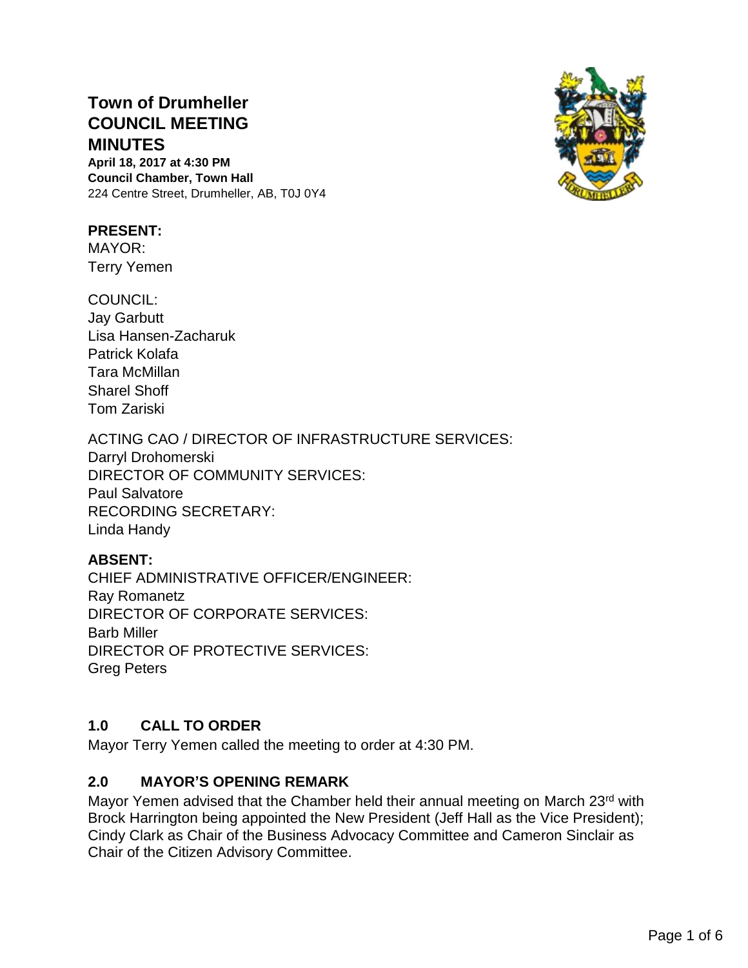# **Town of Drumheller COUNCIL MEETING MINUTES**

**April 18, 2017 at 4:30 PM Council Chamber, Town Hall** 224 Centre Street, Drumheller, AB, T0J 0Y4

#### **PRESENT:**

MAYOR: Terry Yemen

COUNCIL: Jay Garbutt Lisa Hansen-Zacharuk Patrick Kolafa Tara McMillan Sharel Shoff Tom Zariski

ACTING CAO / DIRECTOR OF INFRASTRUCTURE SERVICES: Darryl Drohomerski DIRECTOR OF COMMUNITY SERVICES: Paul Salvatore RECORDING SECRETARY: Linda Handy

# **ABSENT:**

CHIEF ADMINISTRATIVE OFFICER/ENGINEER: Ray Romanetz DIRECTOR OF CORPORATE SERVICES: Barb Miller DIRECTOR OF PROTECTIVE SERVICES: Greg Peters

# **1.0 CALL TO ORDER**

Mayor Terry Yemen called the meeting to order at 4:30 PM.

# **2.0 MAYOR'S OPENING REMARK**

Mayor Yemen advised that the Chamber held their annual meeting on March 23<sup>rd</sup> with Brock Harrington being appointed the New President (Jeff Hall as the Vice President); Cindy Clark as Chair of the Business Advocacy Committee and Cameron Sinclair as Chair of the Citizen Advisory Committee.

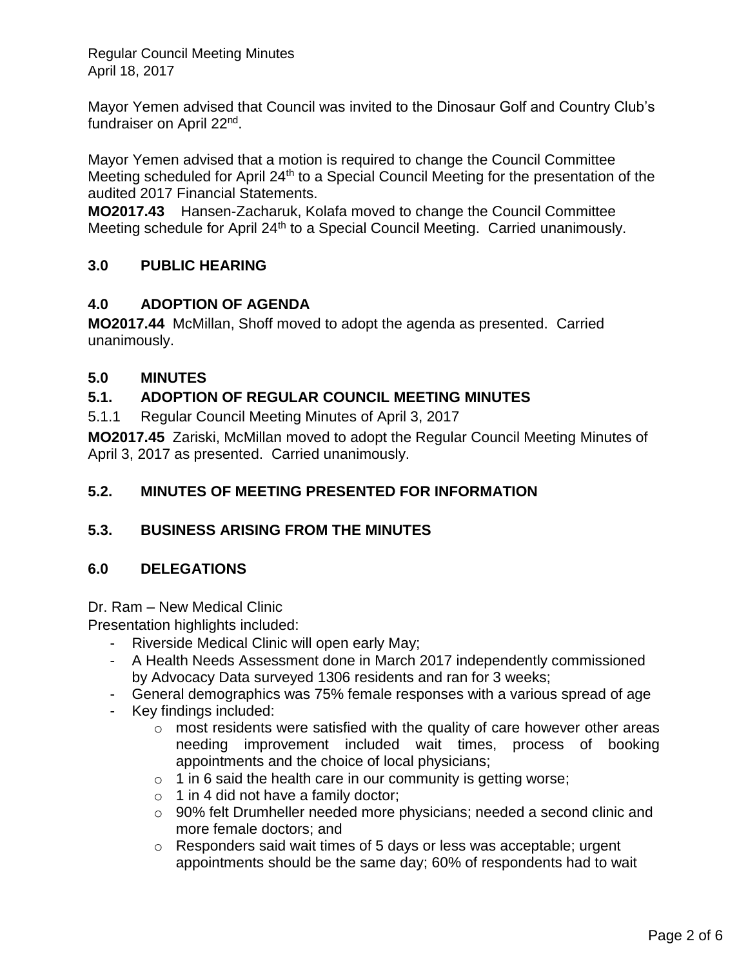Mayor Yemen advised that Council was invited to the Dinosaur Golf and Country Club's fundraiser on April 22<sup>nd</sup>.

Mayor Yemen advised that a motion is required to change the Council Committee Meeting scheduled for April 24<sup>th</sup> to a Special Council Meeting for the presentation of the audited 2017 Financial Statements.

**MO2017.43** Hansen-Zacharuk, Kolafa moved to change the Council Committee Meeting schedule for April 24<sup>th</sup> to a Special Council Meeting. Carried unanimously.

# **3.0 PUBLIC HEARING**

# **4.0 ADOPTION OF AGENDA**

**MO2017.44** McMillan, Shoff moved to adopt the agenda as presented. Carried unanimously.

# **5.0 MINUTES**

# **5.1. ADOPTION OF REGULAR COUNCIL MEETING MINUTES**

5.1.1 Regular Council Meeting Minutes of April 3, 2017

**MO2017.45** Zariski, McMillan moved to adopt the Regular Council Meeting Minutes of April 3, 2017 as presented. Carried unanimously.

# **5.2. MINUTES OF MEETING PRESENTED FOR INFORMATION**

# **5.3. BUSINESS ARISING FROM THE MINUTES**

# **6.0 DELEGATIONS**

Dr. Ram – New Medical Clinic

Presentation highlights included:

- Riverside Medical Clinic will open early May;
- A Health Needs Assessment done in March 2017 independently commissioned by Advocacy Data surveyed 1306 residents and ran for 3 weeks;
- General demographics was 75% female responses with a various spread of age
- Key findings included:
	- $\circ$  most residents were satisfied with the quality of care however other areas needing improvement included wait times, process of booking appointments and the choice of local physicians;
	- $\circ$  1 in 6 said the health care in our community is getting worse;
	- $\circ$  1 in 4 did not have a family doctor;
	- o 90% felt Drumheller needed more physicians; needed a second clinic and more female doctors; and
	- o Responders said wait times of 5 days or less was acceptable; urgent appointments should be the same day; 60% of respondents had to wait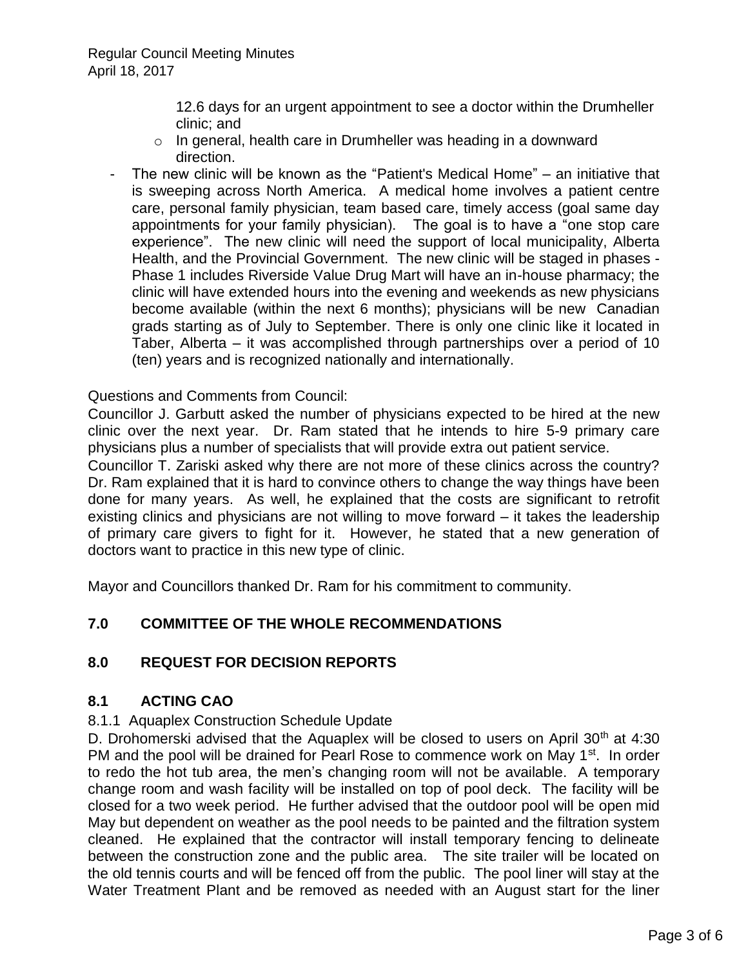12.6 days for an urgent appointment to see a doctor within the Drumheller clinic; and

- o In general, health care in Drumheller was heading in a downward direction.
- The new clinic will be known as the "Patient's Medical Home" an initiative that is sweeping across North America. A medical home involves a patient centre care, personal family physician, team based care, timely access (goal same day appointments for your family physician). The goal is to have a "one stop care experience". The new clinic will need the support of local municipality, Alberta Health, and the Provincial Government. The new clinic will be staged in phases - Phase 1 includes Riverside Value Drug Mart will have an in-house pharmacy; the clinic will have extended hours into the evening and weekends as new physicians become available (within the next 6 months); physicians will be new Canadian grads starting as of July to September. There is only one clinic like it located in Taber, Alberta – it was accomplished through partnerships over a period of 10 (ten) years and is recognized nationally and internationally.

Questions and Comments from Council:

Councillor J. Garbutt asked the number of physicians expected to be hired at the new clinic over the next year. Dr. Ram stated that he intends to hire 5-9 primary care physicians plus a number of specialists that will provide extra out patient service.

Councillor T. Zariski asked why there are not more of these clinics across the country? Dr. Ram explained that it is hard to convince others to change the way things have been done for many years. As well, he explained that the costs are significant to retrofit existing clinics and physicians are not willing to move forward – it takes the leadership of primary care givers to fight for it. However, he stated that a new generation of doctors want to practice in this new type of clinic.

Mayor and Councillors thanked Dr. Ram for his commitment to community.

# **7.0 COMMITTEE OF THE WHOLE RECOMMENDATIONS**

#### **8.0 REQUEST FOR DECISION REPORTS**

#### **8.1 ACTING CAO**

#### 8.1.1 Aquaplex Construction Schedule Update

D. Drohomerski advised that the Aquaplex will be closed to users on April  $30<sup>th</sup>$  at 4:30 PM and the pool will be drained for Pearl Rose to commence work on May 1<sup>st</sup>. In order to redo the hot tub area, the men's changing room will not be available. A temporary change room and wash facility will be installed on top of pool deck. The facility will be closed for a two week period. He further advised that the outdoor pool will be open mid May but dependent on weather as the pool needs to be painted and the filtration system cleaned. He explained that the contractor will install temporary fencing to delineate between the construction zone and the public area. The site trailer will be located on the old tennis courts and will be fenced off from the public. The pool liner will stay at the Water Treatment Plant and be removed as needed with an August start for the liner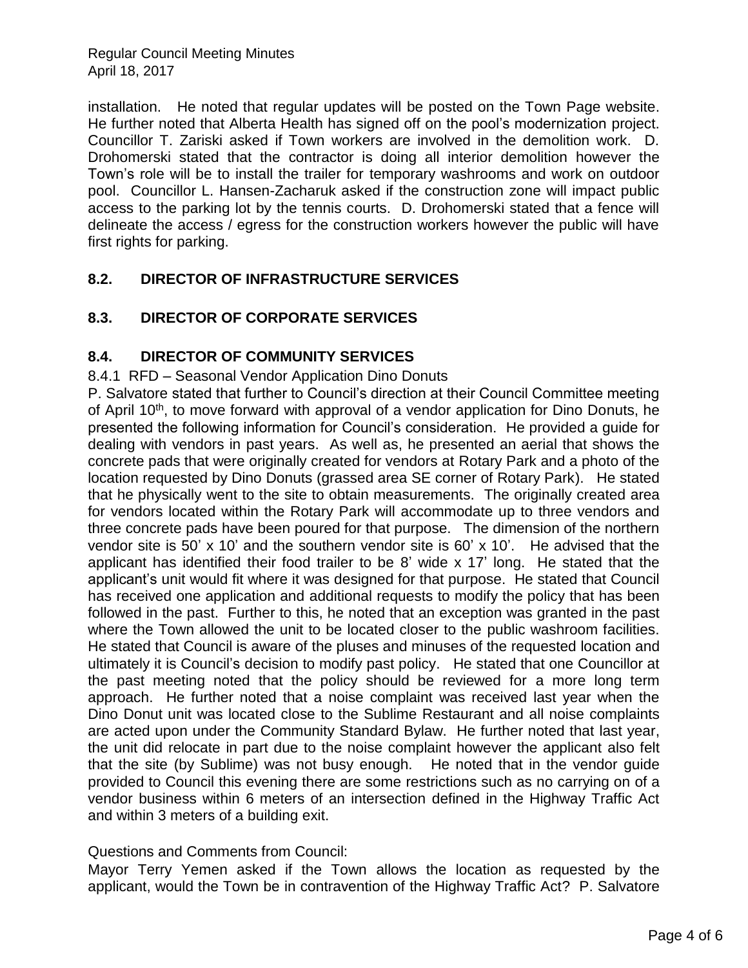installation. He noted that regular updates will be posted on the Town Page website. He further noted that Alberta Health has signed off on the pool's modernization project. Councillor T. Zariski asked if Town workers are involved in the demolition work. D. Drohomerski stated that the contractor is doing all interior demolition however the Town's role will be to install the trailer for temporary washrooms and work on outdoor pool. Councillor L. Hansen-Zacharuk asked if the construction zone will impact public access to the parking lot by the tennis courts. D. Drohomerski stated that a fence will delineate the access / egress for the construction workers however the public will have first rights for parking.

# **8.2. DIRECTOR OF INFRASTRUCTURE SERVICES**

# **8.3. DIRECTOR OF CORPORATE SERVICES**

# **8.4. DIRECTOR OF COMMUNITY SERVICES**

#### 8.4.1 RFD – Seasonal Vendor Application Dino Donuts

P. Salvatore stated that further to Council's direction at their Council Committee meeting of April 10<sup>th</sup>, to move forward with approval of a vendor application for Dino Donuts, he presented the following information for Council's consideration. He provided a guide for dealing with vendors in past years. As well as, he presented an aerial that shows the concrete pads that were originally created for vendors at Rotary Park and a photo of the location requested by Dino Donuts (grassed area SE corner of Rotary Park). He stated that he physically went to the site to obtain measurements. The originally created area for vendors located within the Rotary Park will accommodate up to three vendors and three concrete pads have been poured for that purpose. The dimension of the northern vendor site is 50' x 10' and the southern vendor site is 60' x 10'. He advised that the applicant has identified their food trailer to be 8' wide x 17' long. He stated that the applicant's unit would fit where it was designed for that purpose. He stated that Council has received one application and additional requests to modify the policy that has been followed in the past. Further to this, he noted that an exception was granted in the past where the Town allowed the unit to be located closer to the public washroom facilities. He stated that Council is aware of the pluses and minuses of the requested location and ultimately it is Council's decision to modify past policy. He stated that one Councillor at the past meeting noted that the policy should be reviewed for a more long term approach. He further noted that a noise complaint was received last year when the Dino Donut unit was located close to the Sublime Restaurant and all noise complaints are acted upon under the Community Standard Bylaw. He further noted that last year, the unit did relocate in part due to the noise complaint however the applicant also felt that the site (by Sublime) was not busy enough. He noted that in the vendor guide provided to Council this evening there are some restrictions such as no carrying on of a vendor business within 6 meters of an intersection defined in the Highway Traffic Act and within 3 meters of a building exit.

# Questions and Comments from Council:

Mayor Terry Yemen asked if the Town allows the location as requested by the applicant, would the Town be in contravention of the Highway Traffic Act? P. Salvatore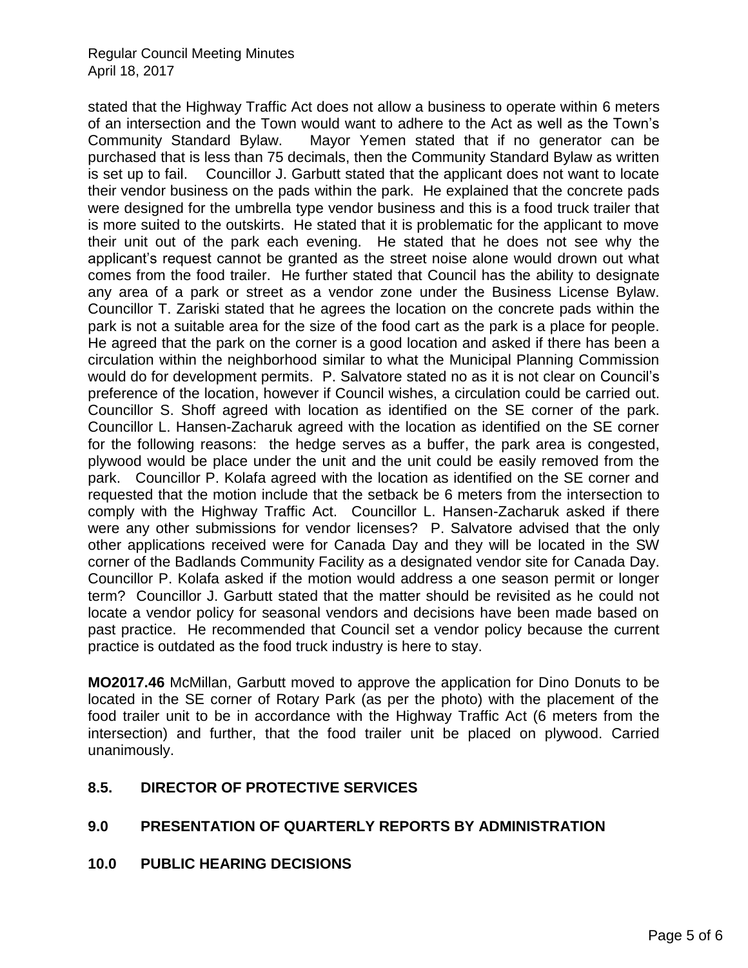stated that the Highway Traffic Act does not allow a business to operate within 6 meters of an intersection and the Town would want to adhere to the Act as well as the Town's Community Standard Bylaw. Mayor Yemen stated that if no generator can be purchased that is less than 75 decimals, then the Community Standard Bylaw as written is set up to fail. Councillor J. Garbutt stated that the applicant does not want to locate their vendor business on the pads within the park. He explained that the concrete pads were designed for the umbrella type vendor business and this is a food truck trailer that is more suited to the outskirts. He stated that it is problematic for the applicant to move their unit out of the park each evening. He stated that he does not see why the applicant's request cannot be granted as the street noise alone would drown out what comes from the food trailer. He further stated that Council has the ability to designate any area of a park or street as a vendor zone under the Business License Bylaw. Councillor T. Zariski stated that he agrees the location on the concrete pads within the park is not a suitable area for the size of the food cart as the park is a place for people. He agreed that the park on the corner is a good location and asked if there has been a circulation within the neighborhood similar to what the Municipal Planning Commission would do for development permits. P. Salvatore stated no as it is not clear on Council's preference of the location, however if Council wishes, a circulation could be carried out. Councillor S. Shoff agreed with location as identified on the SE corner of the park. Councillor L. Hansen-Zacharuk agreed with the location as identified on the SE corner for the following reasons: the hedge serves as a buffer, the park area is congested, plywood would be place under the unit and the unit could be easily removed from the park. Councillor P. Kolafa agreed with the location as identified on the SE corner and requested that the motion include that the setback be 6 meters from the intersection to comply with the Highway Traffic Act. Councillor L. Hansen-Zacharuk asked if there were any other submissions for vendor licenses? P. Salvatore advised that the only other applications received were for Canada Day and they will be located in the SW corner of the Badlands Community Facility as a designated vendor site for Canada Day. Councillor P. Kolafa asked if the motion would address a one season permit or longer term? Councillor J. Garbutt stated that the matter should be revisited as he could not locate a vendor policy for seasonal vendors and decisions have been made based on past practice. He recommended that Council set a vendor policy because the current practice is outdated as the food truck industry is here to stay.

**MO2017.46** McMillan, Garbutt moved to approve the application for Dino Donuts to be located in the SE corner of Rotary Park (as per the photo) with the placement of the food trailer unit to be in accordance with the Highway Traffic Act (6 meters from the intersection) and further, that the food trailer unit be placed on plywood. Carried unanimously.

#### **8.5. DIRECTOR OF PROTECTIVE SERVICES**

#### **9.0 PRESENTATION OF QUARTERLY REPORTS BY ADMINISTRATION**

#### **10.0 PUBLIC HEARING DECISIONS**